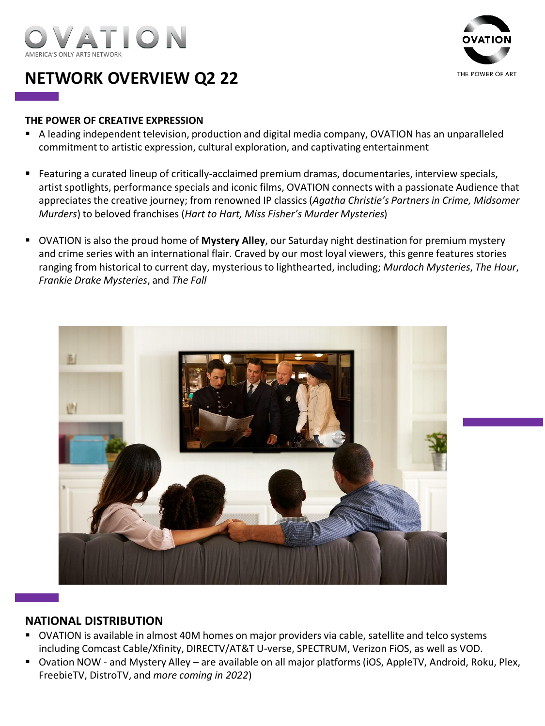



## **NETWORK OVERVIEW Q2 22**

#### **THE POWER OF CREATIVE EXPRESSION**

- A leading independent television, production and digital media company, OVATION has an unparalleled commitment to artistic expression, cultural exploration, and captivating entertainment
- Featuring a curated lineup of critically-acclaimed premium dramas, documentaries, interview specials, artist spotlights, performance specials and iconic films, OVATION connects with a passionate Audience that appreciates the creative journey; from renowned IP classics (*Agatha Christie's Partners in Crime, Midsomer Murders*) to beloved franchises (*Hart to Hart, Miss Fisher's Murder Mysteries*)
- **EXTED IS A COVATION** is also the proud home of **Mystery Alley**, our Saturday night destination for premium mystery and crime series with an international flair. Craved by our most loyal viewers, this genre features stories ranging from historical to current day, mysterious to lighthearted, including; *Murdoch Mysteries*, *The Hour*, *Frankie Drake Mysteries*, and *The Fall*



## **NATIONAL DISTRIBUTION**

- OVATION is available in almost 40M homes on major providers via cable, satellite and telco systems including Comcast Cable/Xfinity, DIRECTV/AT&T U-verse, SPECTRUM, Verizon FiOS, as well as VOD.
- Ovation NOW and Mystery Alley are available on all major platforms (iOS, AppleTV, Android, Roku, Plex, FreebieTV, DistroTV, and *more coming in 2022*)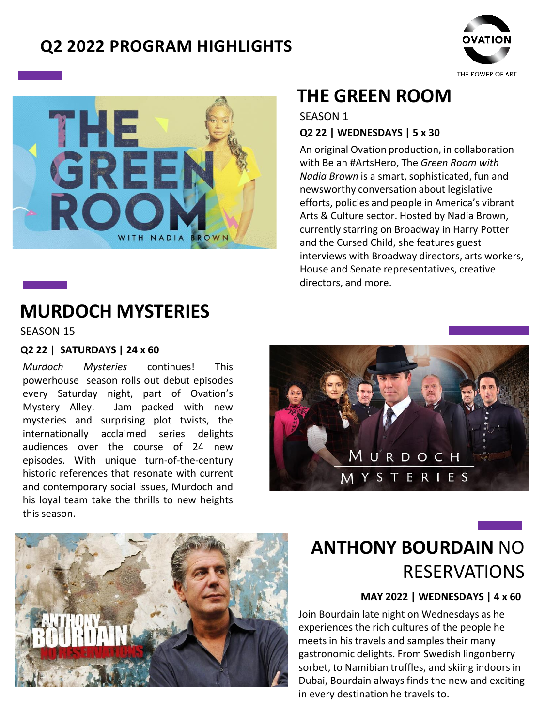## **Q2 2022 PROGRAM HIGHLIGHTS**





# **MURDOCH MYSTERIES**

SEASON 15

#### **Q2 22 | SATURDAYS | 24 x 60**

*Murdoch Mysteries* continues! This powerhouse season rolls out debut episodes every Saturday night, part of Ovation's Mystery Alley. Jam packed with new mysteries and surprising plot twists, the internationally acclaimed series delights audiences over the course of 24 new episodes. With unique turn-of-the-century historic references that resonate with current and contemporary social issues, Murdoch and his loyal team take the thrills to new heights this season.

# <u>M U R D O C H</u><br>M Y S T E R I E S



# **ANTHONY BOURDAIN** NO RESERVATIONS

## **MAY 2022 | WEDNESDAYS | 4 x 60**

Join Bourdain late night on Wednesdays as he experiences the rich cultures of the people he meets in his travels and samples their many gastronomic delights. From Swedish lingonberry sorbet, to Namibian truffles, and skiing indoors in Dubai, Bourdain always finds the new and exciting in every destination he travels to.

# **THE GREEN ROOM**

## **Q2 22 | WEDNESDAYS | 5 x 30** SEASON 1

An original Ovation production, in collaboration with Be an #ArtsHero, The *Green Room with Nadia Brown* is a smart, sophisticated, fun and newsworthy conversation about legislative efforts, policies and people in America's vibrant Arts & Culture sector. Hosted by Nadia Brown, currently starring on Broadway in Harry Potter and the Cursed Child, she features guest interviews with Broadway directors, arts workers, House and Senate representatives, creative directors, and more.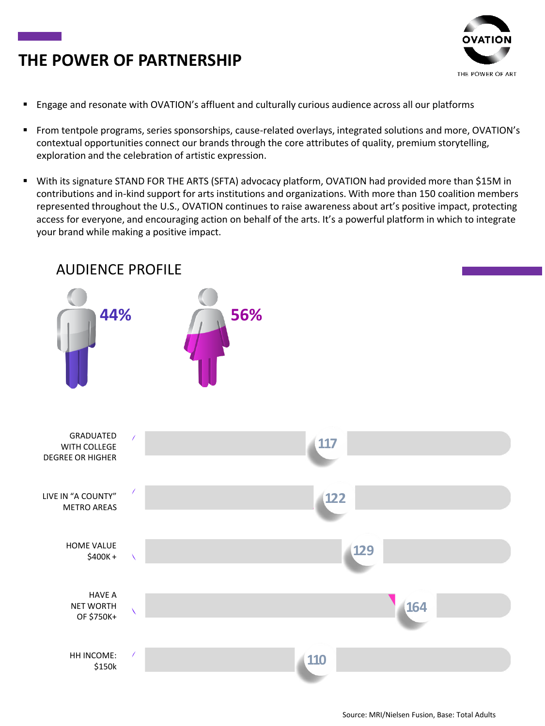## **THE POWER OF PARTNERSHIP**



- Engage and resonate with OVATION's affluent and culturally curious audience across all our platforms
- From tentpole programs, series sponsorships, cause-related overlays, integrated solutions and more, OVATION's contextual opportunities connect our brands through the core attributes of quality, premium storytelling, exploration and the celebration of artistic expression.
- With its signature STAND FOR THE ARTS (SFTA) advocacy platform, OVATION had provided more than \$15M in contributions and in-kind support for arts institutions and organizations. With more than 150 coalition members represented throughout the U.S., OVATION continues to raise awareness about art's positive impact, protecting access for everyone, and encouraging action on behalf of the arts. It's a powerful platform in which to integrate your brand while making a positive impact.